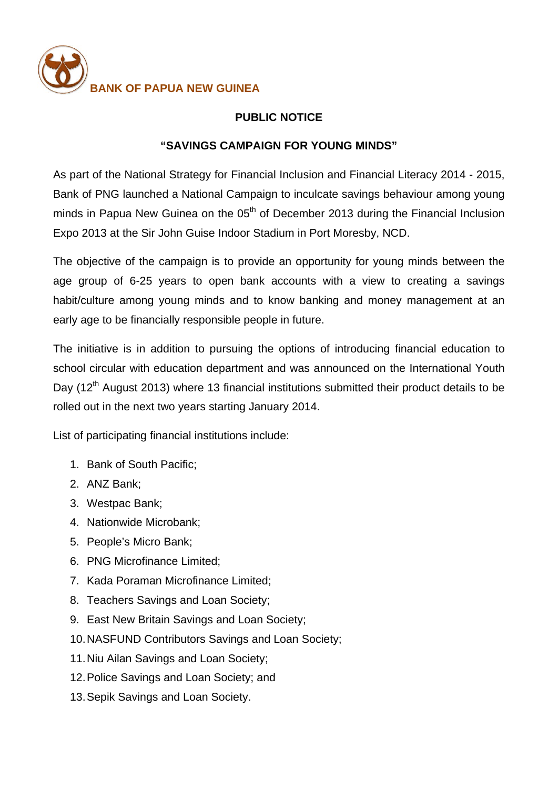

## **PUBLIC NOTICE**

## **"SAVINGS CAMPAIGN FOR YOUNG MINDS"**

As part of the National Strategy for Financial Inclusion and Financial Literacy 2014 - 2015, Bank of PNG launched a National Campaign to inculcate savings behaviour among young minds in Papua New Guinea on the  $05<sup>th</sup>$  of December 2013 during the Financial Inclusion Expo 2013 at the Sir John Guise Indoor Stadium in Port Moresby, NCD.

The objective of the campaign is to provide an opportunity for young minds between the age group of 6-25 years to open bank accounts with a view to creating a savings habit/culture among young minds and to know banking and money management at an early age to be financially responsible people in future.

The initiative is in addition to pursuing the options of introducing financial education to school circular with education department and was announced on the International Youth Day ( $12<sup>th</sup>$  August 2013) where 13 financial institutions submitted their product details to be rolled out in the next two years starting January 2014.

List of participating financial institutions include:

- 1. Bank of South Pacific;
- 2. ANZ Bank;
- 3. Westpac Bank;
- 4. Nationwide Microbank;
- 5. People's Micro Bank;
- 6. PNG Microfinance Limited;
- 7. Kada Poraman Microfinance Limited;
- 8. Teachers Savings and Loan Society;
- 9. East New Britain Savings and Loan Society;
- 10.NASFUND Contributors Savings and Loan Society;
- 11.Niu Ailan Savings and Loan Society;
- 12.Police Savings and Loan Society; and
- 13.Sepik Savings and Loan Society.